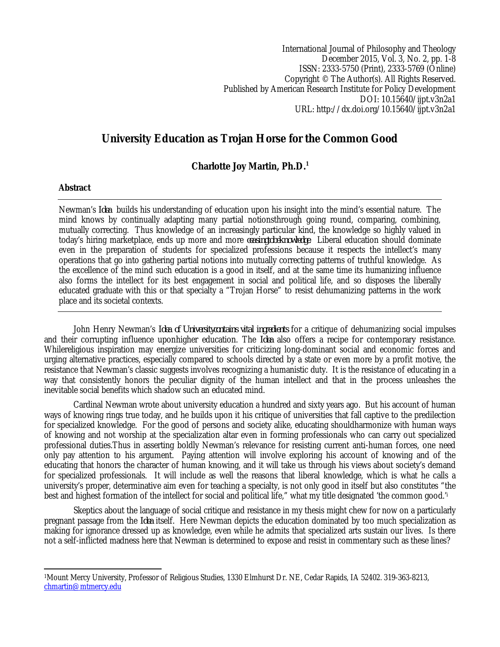International Journal of Philosophy and Theology December 2015, Vol. 3, No. 2, pp. 1-8 ISSN: 2333-5750 (Print), 2333-5769 (Online) Copyright © The Author(s). All Rights Reserved. Published by American Research Institute for Policy Development DOI: 10.15640/ijpt.v3n2a1 URL: http://dx.doi.org/10.15640/ijpt.v3n2a1

# **University Education as Trojan Horse for the Common Good**

## **Charlotte Joy Martin, Ph.D.<sup>1</sup>**

### **Abstract**

Newman's *Idea* builds his understanding of education upon his insight into the mind's essential nature. The mind knows by continually adapting many partial notionsthrough going round, comparing, combining, mutually correcting. Thus knowledge of an increasingly particular kind, the knowledge so highly valued in today's hiring marketplace, ends up more and more *ceasingtobeknowledge*. Liberal education should dominate even in the preparation of students for specialized professions because it respects the intellect's many operations that go into gathering partial notions into mutually correcting patterns of truthful knowledge. As the excellence of the mind such education is a good in itself, and at the same time its humanizing influence also forms the intellect for its best engagement in social and political life, and so disposes the liberally educated graduate with this or that specialty a "Trojan Horse" to resist dehumanizing patterns in the work place and its societal contexts.

John Henry Newman's *Idea of Universitycontains vital ingredients* for a critique of dehumanizing social impulses and their corrupting influence uponhigher education. The *Idea* also offers a recipe for contemporary resistance. Whilereligious inspiration may energize universities for criticizing long-dominant social and economic forces and urging alternative practices, especially compared to schools directed by a state or even more by a profit motive, the resistance that Newman's classic suggests involves recognizing a humanistic duty. It is the resistance of educating in a way that consistently honors the peculiar dignity of the human intellect and that in the process unleashes the inevitable social benefits which shadow such an educated mind.

Cardinal Newman wrote about university education a hundred and sixty years ago. But his account of human ways of knowing rings true today, and he builds upon it his critique of universities that fall captive to the predilection for specialized knowledge. For the good of persons and society alike, educating shouldharmonize with human ways of knowing and not worship at the specialization altar even in forming professionals who can carry out specialized professional duties.Thus in asserting boldly Newman's relevance for resisting current anti-human forces, one need only pay attention to his argument. Paying attention will involve exploring his account of knowing and of the educating that honors the character of human knowing, and it will take us through his views about society's demand for specialized professionals. It will include as well the reasons that liberal knowledge, which is what he calls a university's proper, determinative aim even for teaching a specialty, is not only good in itself but also constitutes "the best and highest formation of the intellect for social and political life," what my title designated 'the common good.'<sup>i</sup>

Skeptics about the language of social critique and resistance in my thesis might chew for now on a particularly pregnant passage from the *Idea* itself. Here Newman depicts the education dominated by too much specialization as making for ignorance dressed up as knowledge, even while he admits that specialized arts sustain our lives. Is there not a self-inflicted madness here that Newman is determined to expose and resist in commentary such as these lines?

 $\overline{a}$ <sup>1</sup>Mount Mercy University, Professor of Religious Studies, 1330 Elmhurst Dr. NE, Cedar Rapids, IA 52402. 319-363-8213, chmartin@mtmercy.edu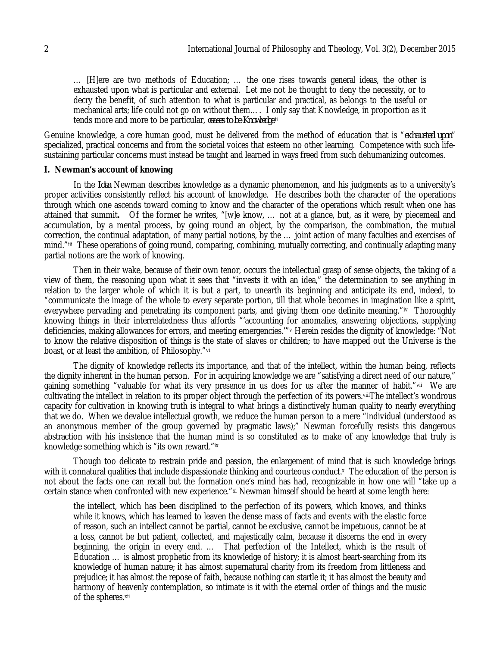… [H]ere are two methods of Education; … the one rises towards general ideas, the other is exhausted upon what is particular and external. Let me not be thought to deny the necessity, or to decry the benefit, of such attention to what is particular and practical, as belongs to the useful or mechanical arts; life could not go on without them…. I only say that Knowledge, in proportion as it tends more and more to be particular, *ceases to be Knowledge*. ii

Genuine knowledge, a core human good, must be delivered from the method of education that is "*exhausted upon*" specialized, practical concerns and from the societal voices that esteem no other learning. Competence with such lifesustaining particular concerns must instead be taught and learned in ways freed from such dehumanizing outcomes.

#### **I. Newman's account of knowing**

In the *Idea* Newman describes knowledge as a dynamic phenomenon, and his judgments as to a university's proper activities consistently reflect his account of knowledge. He describes both the character of the operations through which one ascends toward coming to know and the character of the operations which result when one has attained that summit**.** Of the former he writes, "[w]e know, … not at a glance, but, as it were, by piecemeal and accumulation, by a mental process, by going round an object, by the comparison, the combination, the mutual correction, the continual adaptation, of many partial notions, by the … joint action of many faculties and exercises of mind."iii These operations of going round, comparing, combining, mutually correcting, and continually adapting many partial notions are the work of knowing.

Then in their wake, because of their own tenor, occurs the intellectual grasp of sense objects, the taking of a view of them, the reasoning upon what it sees that "invests it with an idea," the determination to see anything in relation to the larger whole of which it is but a part, to unearth its beginning and anticipate its end, indeed, to "communicate the image of the whole to every separate portion, till that whole becomes in imagination like a spirit, everywhere pervading and penetrating its component parts, and giving them one definite meaning."iv Thoroughly knowing things in their interrelatedness thus affords "'accounting for anomalies, answering objections, supplying deficiencies, making allowances for errors, and meeting emergencies.'"<sup>v</sup> Herein resides the dignity of knowledge: "Not to know the relative disposition of things is the state of slaves or children; to have mapped out the Universe is the boast, or at least the ambition, of Philosophy."vi

The dignity of knowledge reflects its importance, and that of the intellect, within the human being, reflects the dignity inherent in the human person. For in acquiring knowledge we are "satisfying a direct need of our nature," gaining something "valuable for what its very presence in us does for us after the manner of habit."vii We are cultivating the intellect in relation to its proper object through the perfection of its powers.viiiThe intellect's wondrous capacity for cultivation in knowing truth is integral to what brings a distinctively human quality to nearly everything that we do. When we devalue intellectual growth, we reduce the human person to a mere "individual (understood as an anonymous member of the group governed by pragmatic laws);" Newman forcefully resists this dangerous abstraction with his insistence that the human mind is so constituted as to make of any knowledge that truly is knowledge something which is "its own reward."ix

Though too delicate to restrain pride and passion, the enlargement of mind that is such knowledge brings with it connatural qualities that include dispassionate thinking and courteous conduct.× The education of the person is not about the facts one can recall but the formation one's mind has had, recognizable in how one will "take up a certain stance when confronted with new experience." xi Newman himself should be heard at some length here:

the intellect, which has been disciplined to the perfection of its powers, which knows, and thinks while it knows, which has learned to leaven the dense mass of facts and events with the elastic force of reason, such an intellect cannot be partial, cannot be exclusive, cannot be impetuous, cannot be at a loss, cannot be but patient, collected, and majestically calm, because it discerns the end in every beginning, the origin in every end. … That perfection of the Intellect, which is the result of Education … is almost prophetic from its knowledge of history; it is almost heart-searching from its knowledge of human nature; it has almost supernatural charity from its freedom from littleness and prejudice; it has almost the repose of faith, because nothing can startle it; it has almost the beauty and harmony of heavenly contemplation, so intimate is it with the eternal order of things and the music of the spheres.xii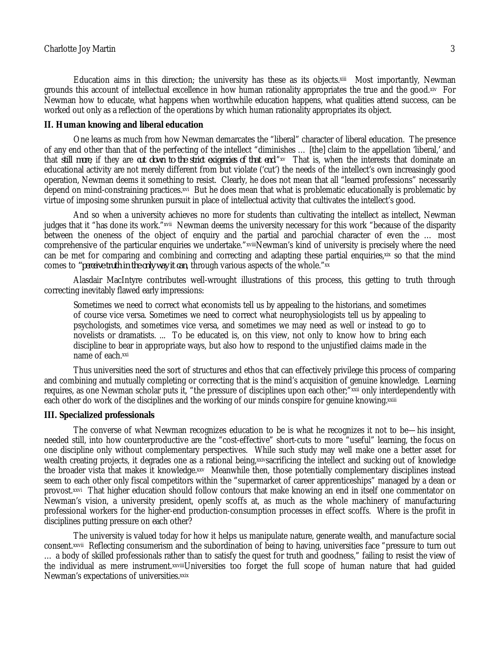Education aims in this direction; the university has these as its objects.<sup>xiii</sup> Most importantly, Newman grounds this account of intellectual excellence in how human rationality appropriates the true and the good.xiv For Newman how to educate, what happens when worthwhile education happens, what qualities attend success, can be worked out only as a reflection of the operations by which human rationality appropriates its object.

#### **II. Human knowing and liberal education**

One learns as much from how Newman demarcates the "liberal" character of liberal education. The presence of any end other than that of the perfecting of the intellect "diminishes … [the] claim to the appellation 'liberal,' and that *still more*, if they are *cut down to the strict exigencies of that end*."xv That is, when the interests that dominate an educational activity are not merely different from but violate ('cut') the needs of the intellect's own increasingly good operation, Newman deems it something to resist. Clearly, he does not mean that all "learned professions" necessarily depend on mind-constraining practices.×vi But he does mean that what is problematic educationally is problematic by virtue of imposing some shrunken pursuit in place of intellectual activity that cultivates the intellect's good.

And so when a university achieves no more for students than cultivating the intellect as intellect, Newman judges that it "has done its work."×vii Newman deems the university necessary for this work "because of the disparity between the oneness of the object of enquiry and the partial and parochial character of even the … most comprehensive of the particular enquiries we undertake."xviiiNewman's kind of university is precisely where the need can be met for comparing and combining and correcting and adapting these partial enguiries,xix so that the mind comes to *"perceive truth in the only way it can*, through various aspects of the whole."xx

Alasdair MacIntyre contributes well-wrought illustrations of this process, this getting to truth through correcting inevitably flawed early impressions:

Sometimes we need to correct what economists tell us by appealing to the historians, and sometimes of course vice versa. Sometimes we need to correct what neurophysiologists tell us by appealing to psychologists, and sometimes vice versa, and sometimes we may need as well or instead to go to novelists or dramatists. ... To be educated is, on this view, not only to know how to bring each discipline to bear in appropriate ways, but also how to respond to the unjustified claims made in the name of each.xxi

Thus universities need the sort of structures and ethos that can effectively privilege this process of comparing and combining and mutually completing or correcting that is the mind's acquisition of genuine knowledge. Learning requires, as one Newman scholar puts it, "the pressure of disciplines upon each other;"xxii only interdependently with each other do work of the disciplines and the working of our minds conspire for genuine knowing.<sup>xxiii</sup>

#### **III. Specialized professionals**

The converse of what Newman recognizes education to be is what he recognizes it not to be—his insight, needed still, into how counterproductive are the "cost-effective" short-cuts to more "useful" learning, the focus on one discipline only without complementary perspectives. While such study may well make one a better asset for wealth creating projects, it degrades one as a rational being, xxivsacrificing the intellect and sucking out of knowledge the broader vista that makes it knowledge.xxv Meanwhile then, those potentially complementary disciplines instead seem to each other only fiscal competitors within the "supermarket of career apprenticeships" managed by a dean or provost.xxvi That higher education should follow contours that make knowing an end in itself one commentator on Newman's vision, a university president, openly scoffs at, as much as the whole machinery of manufacturing professional workers for the higher-end production-consumption processes in effect scoffs. Where is the profit in disciplines putting pressure on each other?

The university is valued today for how it helps us manipulate nature, generate wealth, and manufacture social consent.xxvii Reflecting consumerism and the subordination of being to having, universities face "pressure to turn out … a body of skilled professionals rather than to satisfy the quest for truth and goodness," failing to resist the view of the individual as mere instrument.xxviiiUniversities too forget the full scope of human nature that had guided Newman's expectations of universities.<sup>xxix</sup>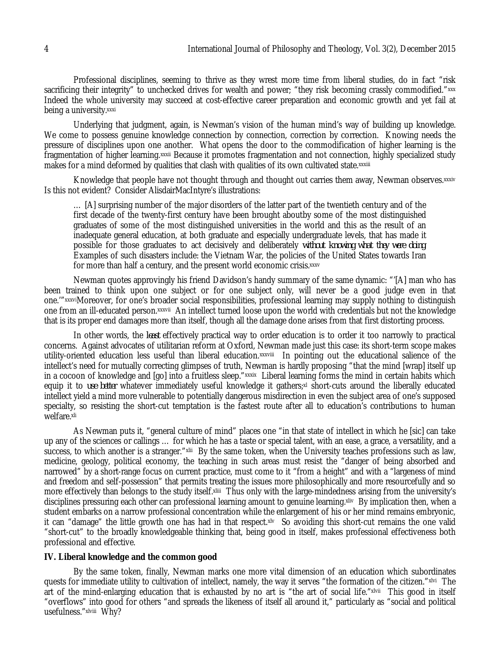Professional disciplines, seeming to thrive as they wrest more time from liberal studies, do in fact "risk sacrificing their integrity" to unchecked drives for wealth and power; "they risk becoming crassly commodified."××× Indeed the whole university may succeed at cost-effective career preparation and economic growth and yet fail at being a university.xxxi

Underlying that judgment, again, is Newman's vision of the human mind's way of building up knowledge. We come to possess genuine knowledge connection by connection, correction by correction. Knowing needs the pressure of disciplines upon one another. What opens the door to the commodification of higher learning is the fragmentation of higher learning.xxxii Because it promotes fragmentation and not connection, highly specialized study makes for a mind deformed by qualities that clash with qualities of its own cultivated state.xxxiii

Knowledge that people have not thought through and thought out carries them away, Newman observes.xxxiv Is this not evident? Consider AlisdairMacIntyre's illustrations:

… [A] surprising number of the major disorders of the latter part of the twentieth century and of the first decade of the twenty-first century have been brought aboutby some of the most distinguished graduates of some of the most distinguished universities in the world and this as the result of an inadequate general education, at both graduate and especially undergraduate levels, that has made it possible for those graduates to act decisively and deliberately *without knowing what they were doing*. Examples of such disasters include: the Vietnam War, the policies of the United States towards Iran for more than half a century, and the present world economic crisis.xxxv

Newman quotes approvingly his friend Davidson's handy summary of the same dynamic: "'[A] man who has been trained to think upon one subject or for one subject only, will never be a good judge even in that one.'"xxxviMoreover, for one's broader social responsibilities, professional learning may supply nothing to distinguish one from an ill-educated person.¤xxvii. An intellect turned loose upon the world with credentials but not the knowledge that is its proper end damages more than itself, though all the damage done arises from that first distorting process.

In other words, the *least* effectively practical way to order education is to order it too narrowly to practical concerns. Against advocates of utilitarian reform at Oxford, Newman made just this case: its short-term scope makes utility-oriented education less useful than liberal education.¤xxviii) In pointing out the educational salience of the intellect's need for mutually correcting glimpses of truth, Newman is hardly proposing "that the mind [wrap] itself up in a cocoon of knowledge and [go] into a fruitless sleep."×××i× Liberal learning forms the mind in certain habits which equip it to *use better* whatever immediately useful knowledge it gathers;<sup>xl</sup> short-cuts around the liberally educated intellect yield a mind more vulnerable to potentially dangerous misdirection in even the subject area of one's supposed specialty, so resisting the short-cut temptation is the fastest route after all to education's contributions to human welfare.xli

As Newman puts it, "general culture of mind" places one "in that state of intellect in which he [sic] can take up any of the sciences or callings … for which he has a taste or special talent, with an ease, a grace, a versatility, and a success, to which another is a stranger."×lii By the same token, when the University teaches professions such as law, medicine, geology, political economy, the teaching in such areas must resist the "danger of being absorbed and narrowed" by a short-range focus on current practice, must come to it "from a height" and with a "largeness of mind and freedom and self-possession" that permits treating the issues more philosophically and more resourcefully and so more effectively than belongs to the study itself.×iiii Thus only with the large-mindedness arising from the university's disciplines pressuring each other can professional learning amount to genuine learning. xliv By implication then, when a student embarks on a narrow professional concentration while the enlargement of his or her mind remains embryonic, it can "damage" the little growth one has had in that respect.xlv So avoiding this short-cut remains the one valid "short-cut" to the broadly knowledgeable thinking that, being good in itself, makes professional effectiveness both professional and effective.

#### **IV. Liberal knowledge and the common good**

By the same token, finally, Newman marks one more vital dimension of an education which subordinates quests for immediate utility to cultivation of intellect, namely, the way it serves "the formation of the citizen."×1vi The art of the mind-enlarging education that is exhausted by no art is "the art of social life."×lvii) This good in itself "overflows" into good for others "and spreads the likeness of itself all around it," particularly as "social and political usefulness."xlviii Why?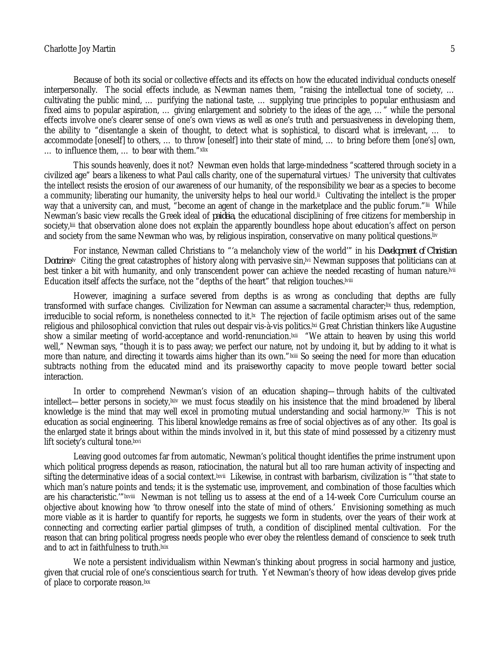#### Charlotte Joy Martin 5

Because of both its social or collective effects and its effects on how the educated individual conducts oneself interpersonally. The social effects include, as Newman names them, "raising the intellectual tone of society, ... cultivating the public mind, … purifying the national taste, … supplying true principles to popular enthusiasm and fixed aims to popular aspiration, … giving enlargement and sobriety to the ideas of the age, …" while the personal effects involve one's clearer sense of one's own views as well as one's truth and persuasiveness in developing them, the ability to "disentangle a skein of thought, to detect what is sophistical, to discard what is irrelevant, … to accommodate [oneself] to others, … to throw [oneself] into their state of mind, … to bring before them [one's] own, ... to influence them, ... to bear with them."xlix

This sounds heavenly, does it not? Newman even holds that large-mindedness "scattered through society in a civilized age" bears a likeness to what Paul calls charity, one of the supernatural virtues.<sup>l</sup> The university that cultivates the intellect resists the erosion of our awareness of our humanity, of the responsibility we bear as a species to become a community; liberating our humanity, the university helps to heal our world.<sub>"</sub> Cultivating the intellect is the proper way that a university can, and must, "become an agent of change in the marketplace and the public forum."lii While Newman's basic view recalls the Greek ideal of *paideia*, the educational disciplining of free citizens for membership in society,liii that observation alone does not explain the apparently boundless hope about education's affect on person and society from the same Newman who was, by religious inspiration, conservative on many political questions.<sup>[17]</sup>

For instance, Newman called Christians to "'a melancholy view of the world'" in his *Development of Christian*  Doctrine.<sup>1</sup> Citing the great catastrophes of history along with pervasive sin,<sup>10</sup> Newman supposes that politicians can at best tinker a bit with humanity, and only transcendent power can achieve the needed recasting of human nature.lvii Education itself affects the surface, not the "depths of the heart" that religion touches.<sup>[Viii</sup>]

However, imagining a surface severed from depths is as wrong as concluding that depths are fully transformed with surface changes. Civilization for Newman can assume a sacramental character;lix thus, redemption, irreducible to social reform, is nonetheless connected to it.lx The rejection of facile optimism arises out of the same religious and philosophical conviction that rules out despair vis-à-vis politics.lxi Great Christian thinkers like Augustine show a similar meeting of world-acceptance and world-renunciation.¤ii "We attain to heaven by using this world well," Newman says, "though it is to pass away; we perfect our nature, not by undoing it, but by adding to it what is more than nature, and directing it towards aims higher than its own."Ixiii So seeing the need for more than education subtracts nothing from the educated mind and its praiseworthy capacity to move people toward better social interaction.

In order to comprehend Newman's vision of an education shaping—through habits of the cultivated intellect—better persons in society,lxiv we must focus steadily on his insistence that the mind broadened by liberal knowledge is the mind that may well excel in promoting mutual understanding and social harmony.lxv This is not education as social engineering. This liberal knowledge remains as free of social objectives as of any other. Its goal is the enlarged state it brings about within the minds involved in it, but this state of mind possessed by a citizenry must lift society's cultural tone.<sup>Ixvi</sup>

Leaving good outcomes far from automatic, Newman's political thought identifies the prime instrument upon which political progress depends as reason, ratiocination, the natural but all too rare human activity of inspecting and sifting the determinative ideas of a social context.<sup>ixvii</sup> Likewise, in contrast with barbarism, civilization is "'that state to which man's nature points and tends; it is the systematic use, improvement, and combination of those faculties which are his characteristic.'"<sup>Ixviii</sup> Newman is not telling us to assess at the end of a 14-week Core Curriculum course an objective about knowing how 'to throw oneself into the state of mind of others.' Envisioning something as much more viable as it is harder to quantify for reports, he suggests we form in students, over the years of their work at connecting and correcting earlier partial glimpses of truth, a condition of disciplined mental cultivation. For the reason that can bring political progress needs people who ever obey the relentless demand of conscience to seek truth and to act in faithfulness to truth.<sup>Ixix</sup>

We note a persistent individualism within Newman's thinking about progress in social harmony and justice, given that crucial role of one's conscientious search for truth. Yet Newman's theory of how ideas develop gives pride of place to corporate reason.<sup>1xx</sup>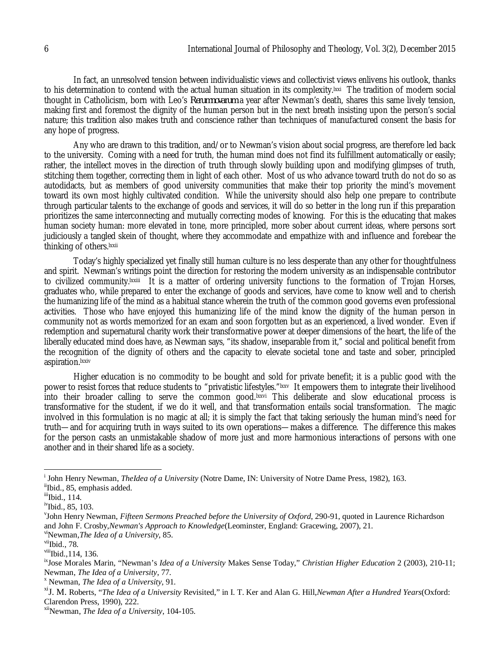In fact, an unresolved tension between individualistic views and collectivist views enlivens his outlook, thanks to his determination to contend with the actual human situation in its complexity.<sup>ixxi</sup> The tradition of modern social thought in Catholicism, born with Leo's *Rerumnovarum* a year after Newman's death, shares this same lively tension, making first and foremost the dignity of the human person but in the next breath insisting upon the person's social nature; this tradition also makes truth and conscience rather than techniques of manufactured consent the basis for any hope of progress.

Any who are drawn to this tradition, and/or to Newman's vision about social progress, are therefore led back to the university. Coming with a need for truth, the human mind does not find its fulfillment automatically or easily; rather, the intellect moves in the direction of truth through slowly building upon and modifying glimpses of truth, stitching them together, correcting them in light of each other. Most of us who advance toward truth do not do so as autodidacts, but as members of good university communities that make their top priority the mind's movement toward its own most highly cultivated condition. While the university should also help one prepare to contribute through particular talents to the exchange of goods and services, it will do so better in the long run if this preparation prioritizes the same interconnecting and mutually correcting modes of knowing. For this is the educating that makes human society human: more elevated in tone, more principled, more sober about current ideas, where persons sort judiciously a tangled skein of thought, where they accommodate and empathize with and influence and forebear the thinking of others.<sup>Ixxii</sup>

Today's highly specialized yet finally still human culture is no less desperate than any other for thoughtfulness and spirit. Newman's writings point the direction for restoring the modern university as an indispensable contributor to civilized community.<sup>ixxiii</sup> It is a matter of ordering university functions to the formation of Trojan Horses, graduates who, while prepared to enter the exchange of goods and services, have come to know well and to cherish the humanizing life of the mind as a habitual stance wherein the truth of the common good governs even professional activities. Those who have enjoyed this humanizing life of the mind know the dignity of the human person in community not as words memorized for an exam and soon forgotten but as an experienced, a lived wonder. Even if redemption and supernatural charity work their transformative power at deeper dimensions of the heart, the life of the liberally educated mind does have, as Newman says, "its shadow, inseparable from it," social and political benefit from the recognition of the dignity of others and the capacity to elevate societal tone and taste and sober, principled aspiration.lxxiv

Higher education is no commodity to be bought and sold for private benefit; it is a public good with the power to resist forces that reduce students to "privatistic lifestyles."<sup>Ixxv</sup> It empowers them to integrate their livelihood into their broader calling to serve the common good.<sup>[xxvi</sup> This deliberate and slow educational process is transformative for the student, if we do it well, and that transformation entails social transformation. The magic involved in this formulation is no magic at all; it is simply the fact that taking seriously the human mind's need for truth—and for acquiring truth in ways suited to its own operations—makes a difference. The difference this makes for the person casts an unmistakable shadow of more just and more harmonious interactions of persons with one another and in their shared life as a society.

 $\overline{a}$ 

i John Henry Newman, *TheIdea of a University* (Notre Dame, IN: University of Notre Dame Press, 1982), 163.

iiIbid., 85, emphasis added.

 $\mathrm{ii}$ Ibid., 114.

<sup>&</sup>lt;sup>iv</sup>Ibid., 85, 103.

v John Henry Newman, *Fifteen Sermons Preached before the University of Oxford*, 290-91, quoted in Laurence Richardson and John F. Crosby,*Newman's Approach to Knowledge*(Leominster, England: Gracewing, 2007), 21. viNewman,*The Idea of a University*, 85.

 $vii$ Ibid., 78.

viii**Ibid.**, 114, 136.

ixJose Morales Marin, "Newman's *Idea of a University* Makes Sense Today," *Christian Higher Education* 2 (2003), 210-11; Newman, *The Idea of a University*, 77.

<sup>x</sup> Newman, *The Idea of a University*, 91.

xiJ. M. Roberts, "*The Idea of a University* Revisited," in I. T. Ker and Alan G. Hill,*Newman After a Hundred Years*(Oxford: Clarendon Press, 1990), 222.

xiiNewman, *The Idea of a University*, 104-105.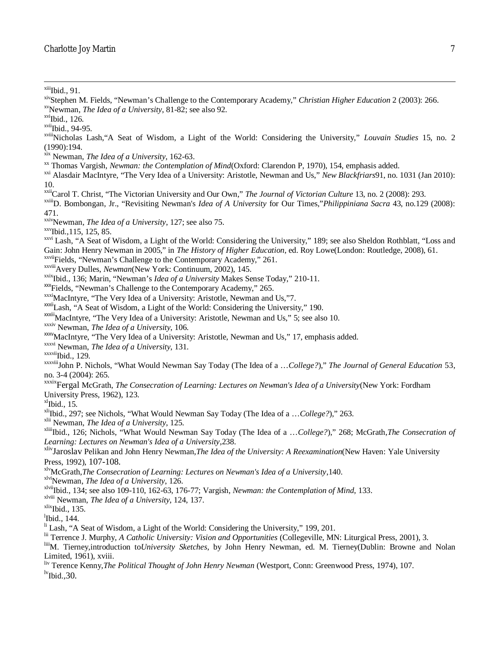$xiiii$ Ibid., 91.

 $\overline{\phantom{a}}$ 

xivStephen M. Fields, "Newman's Challenge to the Contemporary Academy," *Christian Higher Education* 2 (2003): 266.

 $xvii$ Ibid., 94-95.

xix Newman, *The Idea of a University*, 162-63.

xx Thomas Vargish, *Newman: the Contemplation of Mind*(Oxford: Clarendon P, 1970), 154, emphasis added.

xxi Alasdair MacIntyre, "The Very Idea of a University: Aristotle, Newman and Us," *New Blackfriars*91, no. 1031 (Jan 2010): 10.

xxiiCarol T. Christ, "The Victorian University and Our Own," *The Journal of Victorian Culture* 13, no. 2 (2008): 293.

xxiiiD. Bombongan, Jr., "Revisiting Newman's *Idea of A University* for Our Times,"*Philippiniana Sacra* 43, no.129 (2008): 471.

xxivNewman, *The Idea of a University*, 127; see also 75.

 $xxy$ Ibid., 115, 125, 85.

xxvi Lash, "A Seat of Wisdom, a Light of the World: Considering the University," 189; see also Sheldon Rothblatt, "Loss and Gain: John Henry Newman in 2005," in *The History of Higher Education*, ed. Roy Lowe(London: Routledge, 2008), 61. xxviiFields, "Newman's Challenge to the Contemporary Academy," 261.

xxviiiAvery Dulles, *Newman*(New York: Continuum, 2002), 145.

xxixIbid., 136; Marin, "Newman's *Idea of a University* Makes Sense Today," 210-11.

xxxFields, "Newman's Challenge to the Contemporary Academy," 265.

xxxiMacIntyre, "The Very Idea of a University: Aristotle, Newman and Us,"7.

xxxiiLash, "A Seat of Wisdom, a Light of the World: Considering the University," 190.

xxxiii MacIntyre, "The Very Idea of a University: Aristotle, Newman and Us," 5; see also 10.

xxxiv Newman, *The Idea of a University*, 106.

xxxv<sub>MacIntyre</sub>, "The Very Idea of a University: Aristotle, Newman and Us," 17, emphasis added.

xxxvi Newman, *The Idea of a University*, 131.

 $xxxvii$ [bid., 129.

xxxviiiJohn P. Nichols, "What Would Newman Say Today (The Idea of a …*College?*)," *The Journal of General Education* 53, no. 3-4 (2004): 265.

xxxixFergal McGrath, *The Consecration of Learning: Lectures on Newman's Idea of a University*(New York: Fordham University Press, 1962), 123.

 $x^l$ Ibid., 15.

<sup>xli</sup>Ibid., 297; see Nichols, "What Would Newman Say Today (The Idea of a ...College?)," 263.

xlii Newman, *The Idea of a University*, 125.

xliiiIbid., 126; Nichols, "What Would Newman Say Today (The Idea of a …*College?*)," 268; McGrath,*The Consecration of Learning: Lectures on Newman's Idea of a University*,238.

xlivJaroslav Pelikan and John Henry Newman,*The Idea of the University: A Reexamination*(New Haven: Yale University Press, 1992), 107-108.

xlvMcGrath,*The Consecration of Learning: Lectures on Newman's Idea of a University*,140.

xlviNewman, *The Idea of a University*, 126.

xlviiIbid., 134; see also 109-110, 162-63, 176-77; Vargish, *Newman: the Contemplation of Mind*, 133.

xlviii Newman, *The Idea of a University*, 124, 137.

 $x$ lix<sub>Ibid.</sub>, 135.

<sup>1</sup>Ibid., 144.

li Lash, "A Seat of Wisdom, a Light of the World: Considering the University," 199, 201.

lii Terrence J. Murphy, *A Catholic University: Vision and Opportunities* (Collegeville, MN: Liturgical Press, 2001), 3.

liiiM. Tierney,introduction to*University Sketches*, by John Henry Newman, ed. M. Tierney(Dublin: Browne and Nolan Limited, 1961), xviii.

liv Terence Kenny,*The Political Thought of John Henry Newman* (Westport, Conn: Greenwood Press, 1974), 107.  $\mathrm{^{lv}Ibid..30.}$ 

xvNewman, *The Idea of a University*, 81-82; see also 92.

 $xvi$ Ibid., 126.

xviiiNicholas Lash,"A Seat of Wisdom, a Light of the World: Considering the University," *Louvain Studies* 15, no. 2 (1990):194.